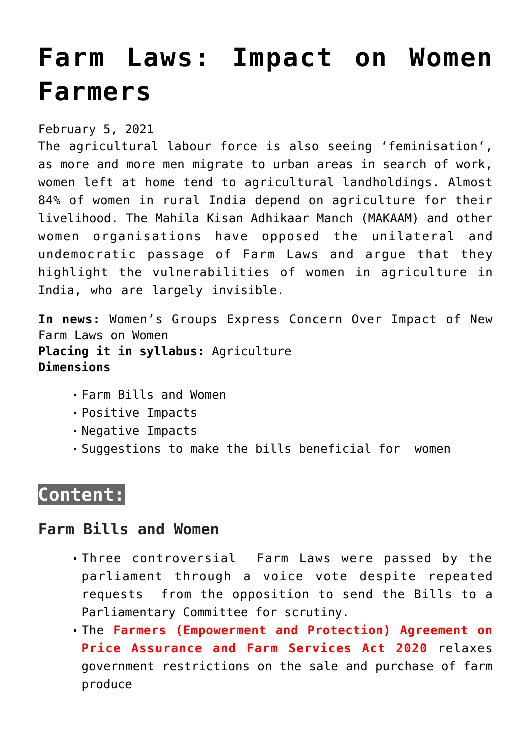# **[Farm Laws: Impact on Women](https://journalsofindia.com/farm-laws-impact-on-women-farmers/) [Farmers](https://journalsofindia.com/farm-laws-impact-on-women-farmers/)**

February 5, 2021

The agricultural labour force is also seeing 'feminisation', as more and more men migrate to urban areas in search of work, women left at home tend to agricultural landholdings. Almost 84% of women in rural India depend on agriculture for their livelihood. The Mahila Kisan Adhikaar Manch (MAKAAM) and other women organisations have opposed the unilateral and undemocratic passage of Farm Laws and argue that they highlight the vulnerabilities of women in agriculture in India, who are largely invisible.

**In news:** Women's Groups Express Concern Over Impact of New Farm Laws on Women **Placing it in syllabus:** Agriculture **Dimensions**

- Farm Bills and Women
- Positive Impacts
- Negative Impacts
- Suggestions to make the bills beneficial for women

# **Content:**

## **Farm Bills and Women**

- Three controversial Farm Laws were passed by the parliament through a voice vote despite repeated requests from the opposition to send the Bills to a Parliamentary Committee for scrutiny.
- The **Farmers (Empowerment and Protection) Agreement on Price Assurance and Farm Services Act 2020** relaxes government restrictions on the sale and purchase of farm produce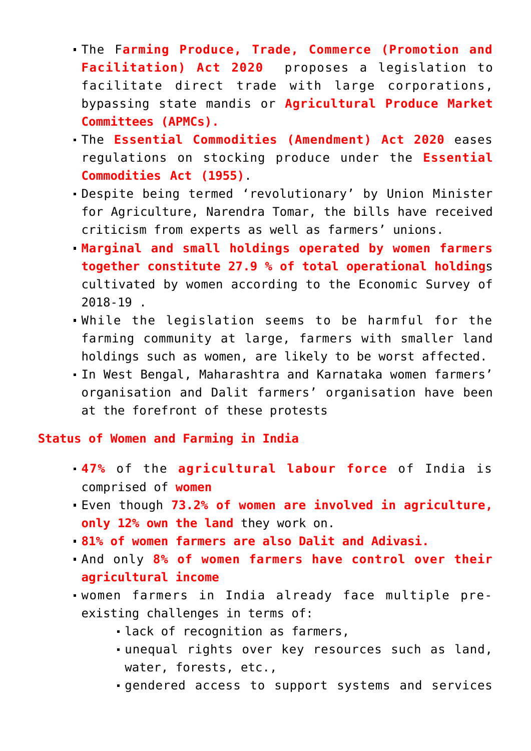- The F**arming Produce, Trade, Commerce (Promotion and Facilitation) Act 2020** proposes a legislation to facilitate direct trade with large corporations, bypassing state mandis or **Agricultural Produce Market Committees (APMCs).**
- The **Essential Commodities (Amendment) Act 2020** eases regulations on stocking produce under the **Essential Commodities Act (1955)**.
- Despite being termed 'revolutionary' by Union Minister for Agriculture, Narendra Tomar, the bills have received criticism from experts as well as farmers' unions.
- **Marginal and small holdings operated by women farmers together constitute 27.9 % of total operational holding**s cultivated by women according to the Economic Survey of 2018-19 .
- While the legislation seems to be harmful for the farming community at large, farmers with smaller land holdings such as women, are likely to be worst affected.
- In West Bengal, Maharashtra and Karnataka women farmers' organisation and Dalit farmers' organisation have been at the forefront of these protests

**Status of Women and Farming in India**

- **47%** of the **agricultural labour force** of India is comprised of **women**
- Even though **73.2% of women are involved in agriculture, only 12% own the land** they work on.
- **81% of women farmers are also Dalit and Adivasi.**
- And only **8% of women farmers have control over their agricultural income**
- women farmers in India already face multiple preexisting challenges in terms of:
	- lack of recognition as farmers,
	- unequal rights over key resources such as land, water, forests, etc.,
	- gendered access to support systems and services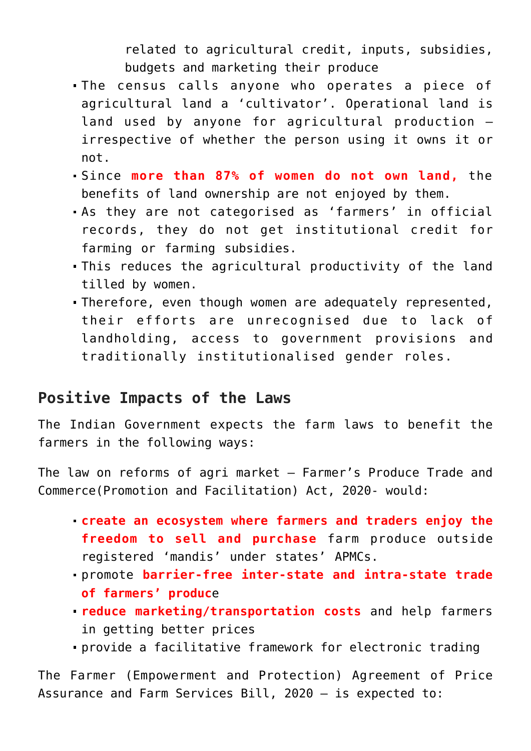related to agricultural credit, inputs, subsidies, budgets and marketing their produce

- The census calls anyone who operates a piece of agricultural land a 'cultivator'. Operational land is land used by anyone for agricultural production – irrespective of whether the person using it owns it or not.
- Since **more than 87% of women do not own land,** the benefits of land ownership are not enjoyed by them.
- As they are not categorised as 'farmers' in official records, they do not get institutional credit for farming or farming subsidies.
- This reduces the agricultural productivity of the land tilled by women.
- Therefore, even though women are adequately represented, their efforts are unrecognised due to lack of landholding, access to government provisions and traditionally institutionalised gender roles.

# **Positive Impacts of the Laws**

The Indian Government expects the farm laws to benefit the farmers in the following ways:

The law on reforms of agri market – Farmer's Produce Trade and Commerce(Promotion and Facilitation) Act, 2020- would:

- **create an ecosystem where farmers and traders enjoy the freedom to sell and purchase** farm produce outside registered 'mandis' under states' APMCs.
- promote **barrier-free inter-state and intra-state trade of farmers' produc**e
- **reduce marketing/transportation costs** and help farmers in getting better prices
- provide a facilitative framework for electronic trading

The Farmer (Empowerment and Protection) Agreement of Price Assurance and Farm Services Bill, 2020 – is expected to: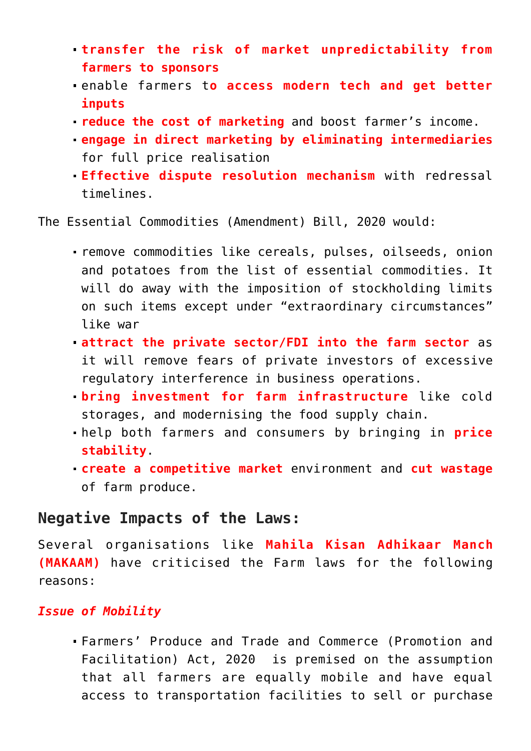- **transfer the risk of market unpredictability from farmers to sponsors**
- enable farmers t**o access modern tech and get better inputs**
- **reduce the cost of marketing** and boost farmer's income.
- **engage in direct marketing by eliminating intermediaries** for full price realisation
- **Effective dispute resolution mechanism** with redressal timelines.

The Essential Commodities (Amendment) Bill, 2020 would:

- remove commodities like cereals, pulses, oilseeds, onion and potatoes from the list of essential commodities. It will do away with the imposition of stockholding limits on such items except under "extraordinary circumstances" like war
- **attract the private sector/FDI into the farm sector** as it will remove fears of private investors of excessive regulatory interference in business operations.
- **bring investment for farm infrastructure** like cold storages, and modernising the food supply chain.
- help both farmers and consumers by bringing in **price stability**.
- **create a competitive market** environment and **cut wastage** of farm produce.

### **Negative Impacts of the Laws:**

Several organisations like **Mahila Kisan Adhikaar Manch (MAKAAM)** have criticised the Farm laws for the following reasons:

#### *Issue of Mobility*

Farmers' Produce and Trade and Commerce (Promotion and Facilitation) Act, 2020 is premised on the assumption that all farmers are equally mobile and have equal access to transportation facilities to sell or purchase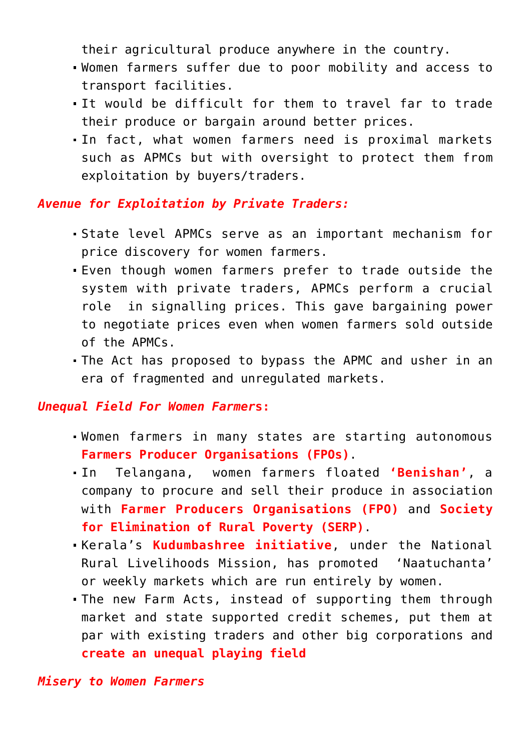their agricultural produce anywhere in the country.

- Women farmers suffer due to poor mobility and access to transport facilities.
- It would be difficult for them to travel far to trade their produce or bargain around better prices.
- In fact, what women farmers need is proximal markets such as APMCs but with oversight to protect them from exploitation by buyers/traders.

#### *Avenue for Exploitation by Private Traders:*

- State level APMCs serve as an important mechanism for price discovery for women farmers.
- Even though women farmers prefer to trade outside the system with private traders, APMCs perform a crucial role in signalling prices. This gave bargaining power to negotiate prices even when women farmers sold outside of the APMCs.
- The Act has proposed to bypass the APMC and usher in an era of fragmented and unregulated markets.

#### *Unequal Field For Women Farmer***s:**

- Women farmers in many states are starting autonomous **Farmers Producer Organisations (FPOs)**.
- In Telangana, women farmers floated **'Benishan'**, a company to procure and sell their produce in association with **Farmer Producers Organisations (FPO)** and **Society for Elimination of Rural Poverty (SERP)**.
- Kerala's **Kudumbashree initiative**, under the National Rural Livelihoods Mission, has promoted 'Naatuchanta' or weekly markets which are run entirely by women.
- The new Farm Acts, instead of supporting them through market and state supported credit schemes, put them at par with existing traders and other big corporations and **create an unequal playing field**

*Misery to Women Farmers*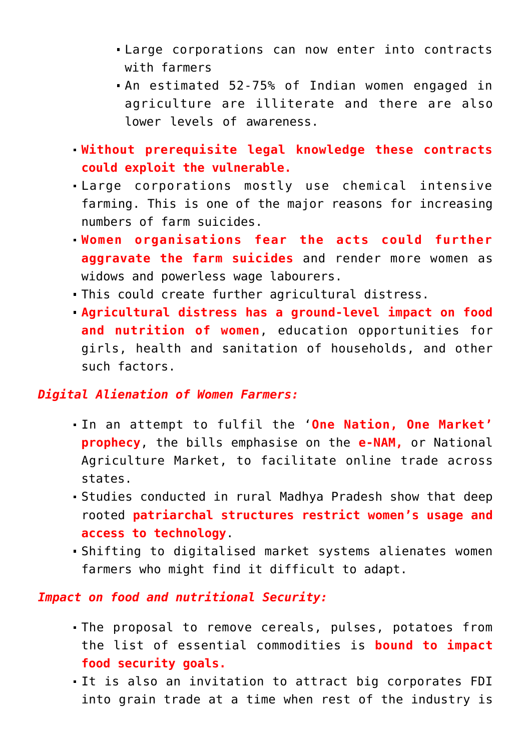- Large corporations can now enter into contracts with farmers
- An estimated 52-75% of Indian women engaged in agriculture are illiterate and there are also lower levels of awareness.
- **Without prerequisite legal knowledge these contracts could exploit the vulnerable.**
- Large corporations mostly use chemical intensive farming. This is one of the major reasons for increasing numbers of farm suicides.
- **Women organisations fear the acts could further aggravate the farm suicides** and render more women as widows and powerless wage labourers.
- This could create further agricultural distress.
- **Agricultural distress has a ground-level impact on food and nutrition of women**, education opportunities for girls, health and sanitation of households, and other such factors.

#### *Digital Alienation of Women Farmers:*

- In an attempt to fulfil the '**One Nation, One Market' prophecy**, the bills emphasise on the **e-NAM,** or National Agriculture Market, to facilitate online trade across states.
- Studies conducted in rural Madhya Pradesh show that deep rooted **patriarchal structures restrict women's usage and access to technology**.
- Shifting to digitalised market systems alienates women farmers who might find it difficult to adapt.

#### *Impact on food and nutritional Security:*

- The proposal to remove cereals, pulses, potatoes from the list of essential commodities is **bound to impact food security goals.**
- It is also an invitation to attract big corporates FDI into grain trade at a time when rest of the industry is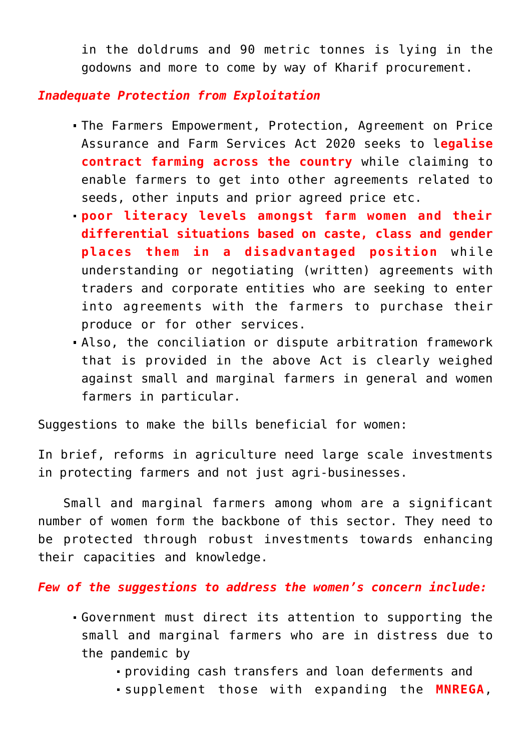in the doldrums and 90 metric tonnes is lying in the godowns and more to come by way of Kharif procurement.

#### *Inadequate Protection from Exploitation*

- The Farmers Empowerment, Protection, Agreement on Price Assurance and Farm Services Act 2020 seeks to l**egalise contract farming across the country** while claiming to enable farmers to get into other agreements related to seeds, other inputs and prior agreed price etc.
- **poor literacy levels amongst farm women and their differential situations based on caste, class and gender places them in a disadvantaged position** while understanding or negotiating (written) agreements with traders and corporate entities who are seeking to enter into agreements with the farmers to purchase their produce or for other services.
- Also, the conciliation or dispute arbitration framework that is provided in the above Act is clearly weighed against small and marginal farmers in general and women farmers in particular.

Suggestions to make the bills beneficial for women:

In brief, reforms in agriculture need large scale investments in protecting farmers and not just agri-businesses.

 Small and marginal farmers among whom are a significant number of women form the backbone of this sector. They need to be protected through robust investments towards enhancing their capacities and knowledge.

*Few of the suggestions to address the women's concern include:*

- Government must direct its attention to supporting the small and marginal farmers who are in distress due to the pandemic by
	- providing cash transfers and loan deferments and
	- supplement those with expanding the **MNREGA**,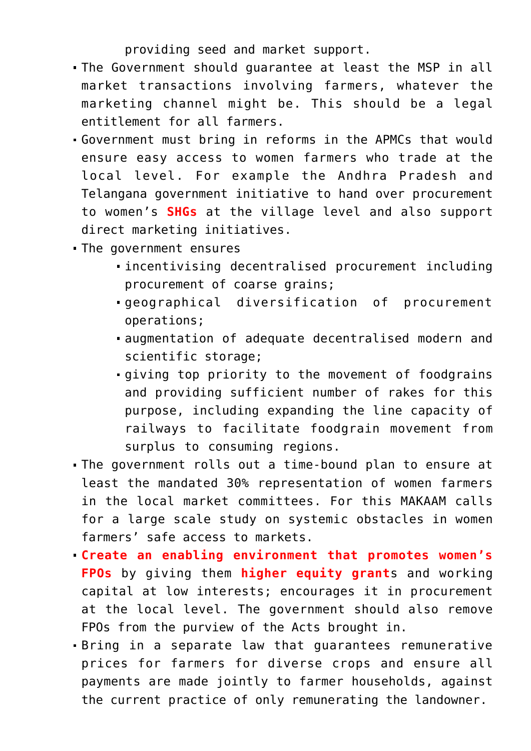providing seed and market support.

- The Government should guarantee at least the MSP in all market transactions involving farmers, whatever the marketing channel might be. This should be a legal entitlement for all farmers.
- Government must bring in reforms in the APMCs that would ensure easy access to women farmers who trade at the local level. For example the Andhra Pradesh and Telangana government initiative to hand over procurement to women's **SHGs** at the village level and also support direct marketing initiatives.
- The government ensures
	- incentivising decentralised procurement including procurement of coarse grains;
	- geographical diversification of procurement operations;
	- augmentation of adequate decentralised modern and scientific storage;
	- giving top priority to the movement of foodgrains and providing sufficient number of rakes for this purpose, including expanding the line capacity of railways to facilitate foodgrain movement from surplus to consuming regions.
- The government rolls out a time-bound plan to ensure at least the mandated 30% representation of women farmers in the local market committees. For this MAKAAM calls for a large scale study on systemic obstacles in women farmers' safe access to markets.
- **Create an enabling environment that promotes women's FPOs** by giving them **higher equity grant**s and working capital at low interests; encourages it in procurement at the local level. The government should also remove FPOs from the purview of the Acts brought in.
- Bring in a separate law that guarantees remunerative prices for farmers for diverse crops and ensure all payments are made jointly to farmer households, against the current practice of only remunerating the landowner.